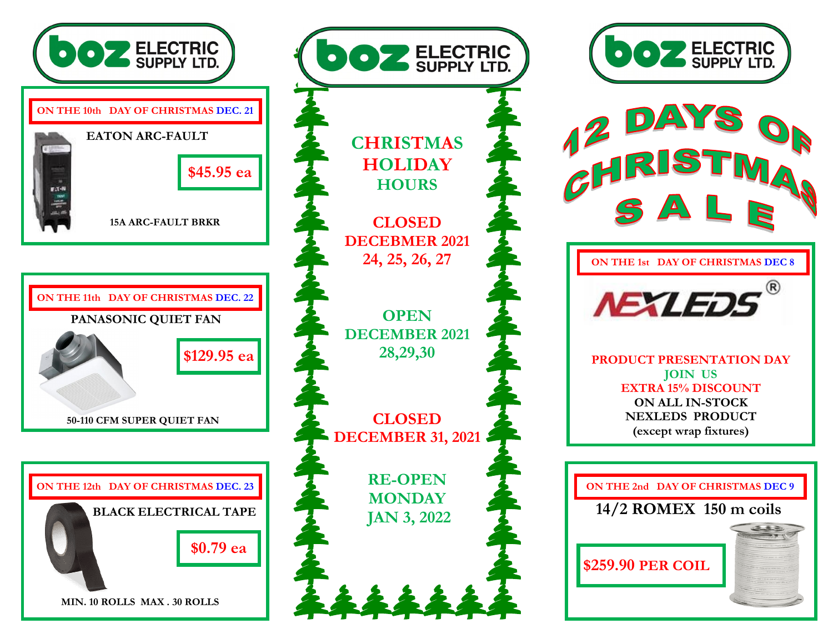